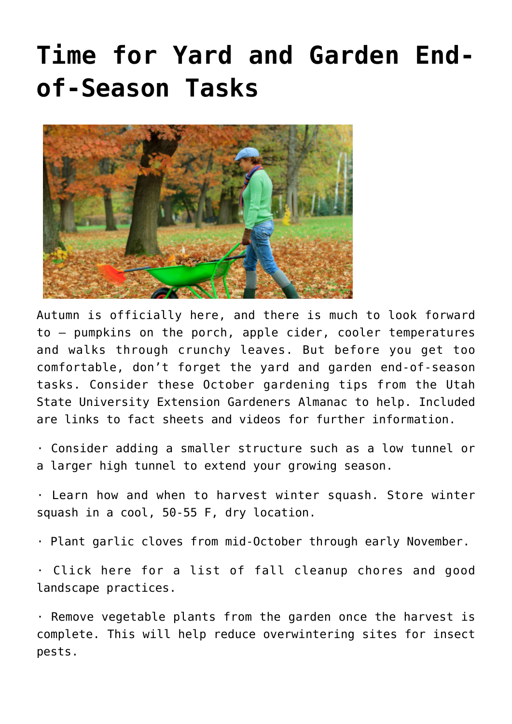## **[Time for Yard and Garden End](https://livewellutah.org/2021/09/30/time-for-yard-and-garden-end-of-season-tasks/)[of-Season Tasks](https://livewellutah.org/2021/09/30/time-for-yard-and-garden-end-of-season-tasks/)**



Autumn is officially here, and there is much to look forward to – pumpkins on the porch, apple cider, cooler temperatures and walks through crunchy leaves. But before you get too comfortable, don't forget the yard and garden end-of-season tasks. Consider these October gardening tips from the Utah State University Extension Gardeners Almanac to help. Included are links to fact sheets and videos for further information.

· Consider adding a smaller [structure](http://digitalcommons.usu.edu/cgi/viewcontent.cgi?article=2050&context=extension_curall) such as a low tunnel or a larger [high tunnel](http://digitalcommons.usu.edu/cgi/viewcontent.cgi?article=1297&context=extension_curall) to [extend your growing season.](https://www.youtube.com/watch?v=k4kOrH6YNHU)

· Learn how and when to harvest [winter squash](http://digitalcommons.usu.edu/cgi/viewcontent.cgi?article=1280&context=extension_curall). Store winter squash in a cool, 50-55 F, dry location.

· Plant [garlic](http://digitalcommons.usu.edu/cgi/viewcontent.cgi?article=1250&context=extension_curall) cloves from mid-October through early November.

· [Click here](http://digitalcommons.usu.edu/cgi/viewcontent.cgi?article=2089&context=extension_curall) for a list of fall cleanup chores and good landscape practices.

· Remove vegetable plants from the garden once the harvest is complete. This will help reduce overwintering sites for insect pests.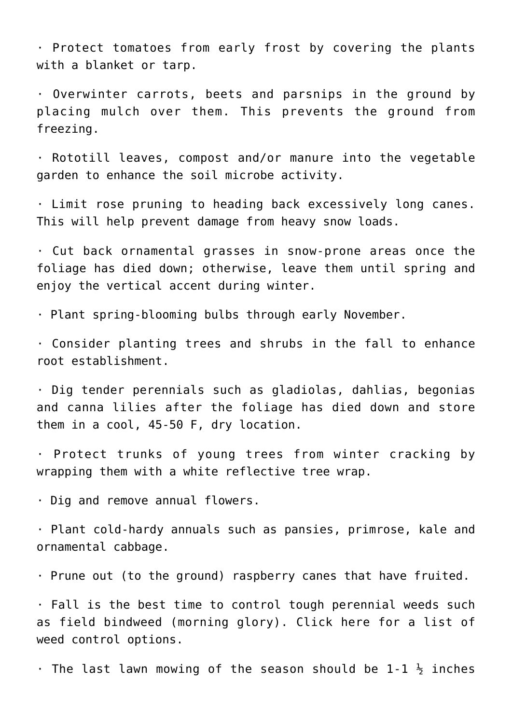· Protect [tomatoes](http://digitalcommons.usu.edu/cgi/viewcontent.cgi?article=1237&context=extension_curall) from early frost by covering the plants with a blanket or tarp.

· Overwinter [carrots](http://digitalcommons.usu.edu/cgi/viewcontent.cgi?article=1290&context=extension_curall), [beets](http://digitalcommons.usu.edu/cgi/viewcontent.cgi?article=1289&context=extension_curall) and [parsnips](http://digitalcommons.usu.edu/cgi/viewcontent.cgi?article=1288&context=extension_curall) in the ground by placing mulch over them. This prevents the ground from freezing.

· Rototill leaves, [compost](http://digitalcommons.usu.edu/cgi/viewcontent.cgi?article=1957&context=extension_curall) and/or manure into the vegetable garden to enhance the soil microbe activity.

· Limit rose pruning to heading back excessively long canes. This will help prevent damage from heavy snow loads.

· Cut back ornamental grasses in snow-prone areas once the foliage has died down; otherwise, leave them until spring and enjoy the vertical accent during winter.

· Plant spring-blooming bulbs through early November.

· Consider [planting trees and shrubs](https://digitalcommons.usu.edu/cgi/viewcontent.cgi?article=2212&context=extension_curall) in the fall to enhance root establishment.

· Dig tender perennials such as gladiolas, dahlias, begonias and canna lilies after the foliage has died down and store them in a cool, 45-50 F, dry location.

· [Protect trunks](http://digitalcommons.usu.edu/cgi/viewcontent.cgi?article=2089&context=extension_curall) of young trees from winter cracking by wrapping them with a white reflective tree wrap.

· Dig and remove annual flowers.

· Plant cold-hardy annuals such as pansies, primrose, [kale](http://digitalcommons.usu.edu/cgi/viewcontent.cgi?article=1274&context=extension_curall) and ornamental cabbage.

· [Prune out](http://digitalcommons.usu.edu/cgi/viewcontent.cgi?article=1724&context=extension_histall) (to the ground) raspberry canes that have fruited.

· Fall is the best time to control tough perennial weeds such as field bindweed (morning glory). [Click here](http://digitalcommons.usu.edu/cgi/viewcontent.cgi?article=1829&context=extension_curall) for a list of weed control options.

 $\cdot$  The last lawn mowing of the season should be 1-1  $\frac{1}{2}$  inches